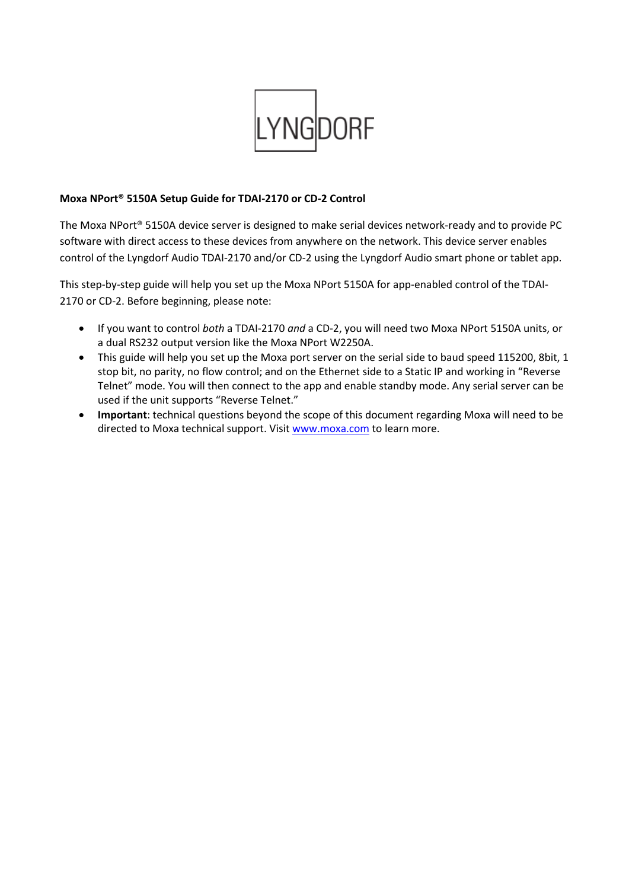

## **Moxa NPort® 5150A Setup Guide for TDAI-2170 or CD-2 Control**

The Moxa NPort® 5150A device server is designed to make serial devices network-ready and to provide PC software with direct access to these devices from anywhere on the network. This device server enables control of the Lyngdorf Audio TDAI-2170 and/or CD-2 using the Lyngdorf Audio smart phone or tablet app.

This step-by-step guide will help you set up the Moxa NPort 5150A for app-enabled control of the TDAI-2170 or CD-2. Before beginning, please note:

- If you want to control *both* a TDAI-2170 *and* a CD-2, you will need two Moxa NPort 5150A units, or a dual RS232 output version like the Moxa NPort W2250A.
- This guide will help you set up the Moxa port server on the serial side to baud speed 115200, 8bit, 1 stop bit, no parity, no flow control; and on the Ethernet side to a Static IP and working in "Reverse Telnet" mode. You will then connect to the app and enable standby mode. Any serial server can be used if the unit supports "Reverse Telnet."
- **Important**: technical questions beyond the scope of this document regarding Moxa will need to be directed to Moxa technical support. Visit [www.moxa.com](http://www.moxa.com/) to learn more.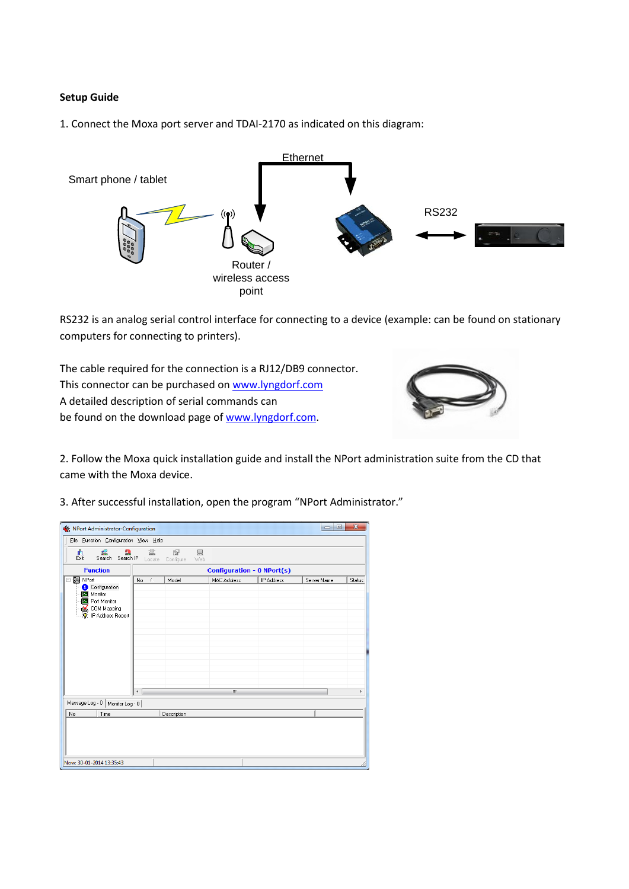## **Setup Guide**

1. Connect the Moxa port server and TDAI-2170 as indicated on this diagram:



RS232 is an analog serial control interface for connecting to a device (example: can be found on stationary computers for connecting to printers).

The cable required for the connection is a RJ12/DB9 connector. This connector can be purchased on [www.lyngdorf.com](http://www.lyngdorf.com/) A detailed description of serial commands can be found on the download page of [www.lyngdorf.com.](http://www.lyngdorf.com/)



2. Follow the Moxa quick installation guide and install the NPort administration suite from the CD that came with the Moxa device.

| 3. After successful installation, open the program "NPort Administrator." |  |
|---------------------------------------------------------------------------|--|
|---------------------------------------------------------------------------|--|

| ≝<br>盘<br>譶<br>Search Search IP Locate Configure                                                            | 鲎                                 | 图           | 具<br>Web           |            |             |        |  |
|-------------------------------------------------------------------------------------------------------------|-----------------------------------|-------------|--------------------|------------|-------------|--------|--|
| <b>Function</b>                                                                                             | <b>Configuration - 0 NPort(s)</b> |             |                    |            |             |        |  |
| <b>⊟-</b> NPort<br>Configuration<br>Monitor<br>Port Monitor<br><b>IN COM Mapping</b><br>ि IP Address Report | No.<br>Î                          | Model       | <b>MAC Address</b> | IP Address | Server Name | Status |  |
|                                                                                                             | $\leftarrow$                      |             | Ш                  |            |             | b.     |  |
| Message Log - 0   Monitor Log - 0                                                                           |                                   |             |                    |            |             |        |  |
| Time<br>No                                                                                                  |                                   | Description |                    |            |             |        |  |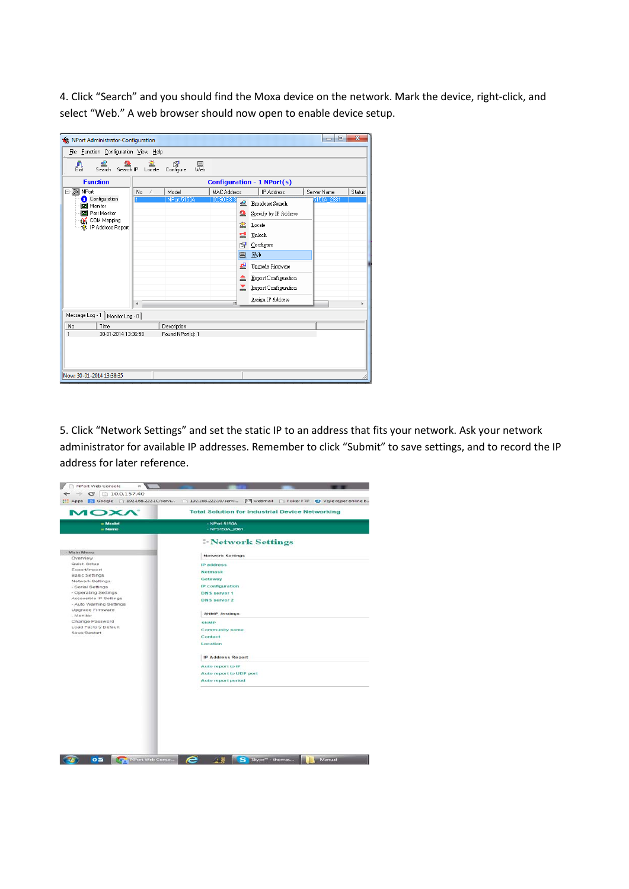4. Click "Search" and you should find the Moxa device on the network. Mark the device, right-click, and select "Web." A web browser should now open to enable device setup.

| NPort Administrator-Configuration                                                             |              |                    |                                                |                                                                                                                                                                     | $\Box$<br>$\qquad \qquad \blacksquare$ | $\overline{\mathbf{x}}$ |  |  |
|-----------------------------------------------------------------------------------------------|--------------|--------------------|------------------------------------------------|---------------------------------------------------------------------------------------------------------------------------------------------------------------------|----------------------------------------|-------------------------|--|--|
| File Function Configuration View Help                                                         |              |                    |                                                |                                                                                                                                                                     |                                        |                         |  |  |
| 堂<br>≝<br>图<br>益<br>Ĵ1.<br>昜<br>Search Search IP Locate<br>Exit<br>Configure                  |              |                    |                                                |                                                                                                                                                                     |                                        |                         |  |  |
| <b>Function</b><br><b>Configuration - 1 NPort(s)</b>                                          |              |                    |                                                |                                                                                                                                                                     |                                        |                         |  |  |
| <b>⊟-</b> NPort                                                                               | No<br>-7     | Model              | <b>MAC Address</b>                             | IP Address                                                                                                                                                          | Server Name                            | Status                  |  |  |
| Configuration<br>Monitor<br>Port Monitor<br>◚<br>COM Mapping<br>Œ.<br>IP Address Report<br>÷. |              | <b>NPort 5150A</b> | 00:90:E8:3/<br>ఆ<br>Ω<br>鲎<br>已<br>图<br>圓<br>₽ | Broadcast Search<br>Specify by IP Address<br>Locate<br>Unlock<br>Configure<br>Web<br>Upgrade Firmware<br><b>Export Configuration</b><br><b>Import Configuration</b> | 5150A 2881                             |                         |  |  |
|                                                                                               | $\leftarrow$ |                    | m                                              | Assign IP Address                                                                                                                                                   |                                        | k                       |  |  |
| Message Log - 1   Monitor Log - 0                                                             |              |                    |                                                |                                                                                                                                                                     |                                        |                         |  |  |
| Time<br>No                                                                                    |              | Description        |                                                |                                                                                                                                                                     |                                        |                         |  |  |
| 30-01-2014 13:36:58<br>1<br>Found NPort[s]: 1                                                 |              |                    |                                                |                                                                                                                                                                     |                                        |                         |  |  |
| Now: 30-01-2014 13:38:35                                                                      |              |                    |                                                |                                                                                                                                                                     |                                        |                         |  |  |

5. Click "Network Settings" and set the static IP to an address that fits your network. Ask your network administrator for available IP addresses. Remember to click "Submit" to save settings, and to record the IP address for later reference.

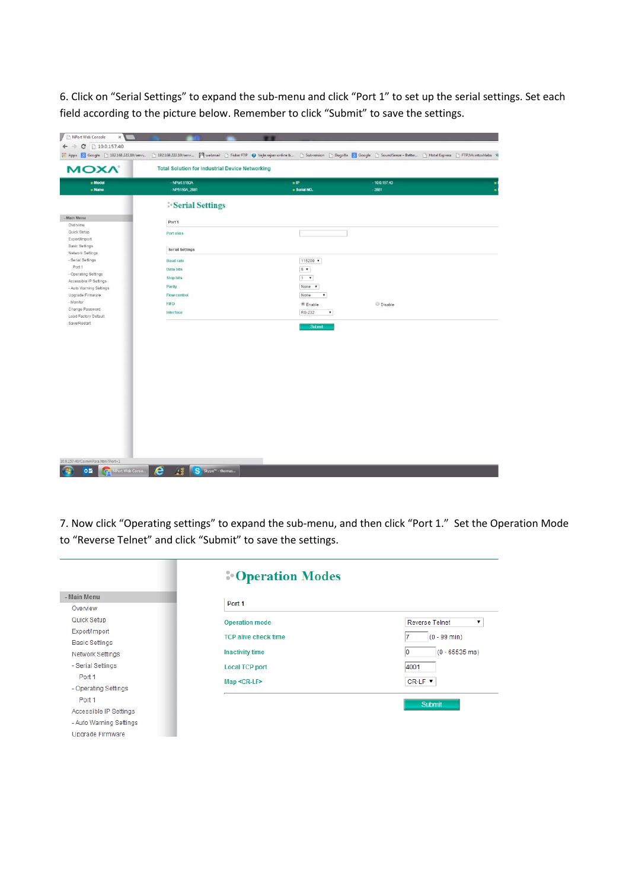6. Click on "Serial Settings" to expand the sub-menu and click "Port 1" to set up the serial settings. Set each field according to the picture below. Remember to click "Submit" to save the settings.

| <b>« Model</b>                                      | - NPort 5150A                 | $=$ IP                                            | $-10.0157.40$  |
|-----------------------------------------------------|-------------------------------|---------------------------------------------------|----------------|
| $n$ Name                                            | - NP5150A_2881                | $=$ Serial NO.                                    | $-2881$        |
|                                                     | <b>Serial Settings</b>        |                                                   |                |
| Main Menu<br>Overview                               | Port 1                        |                                                   |                |
| Quick Setup<br>Export/Import                        | Port alias                    |                                                   |                |
| Basic Settings<br>Network Settings                  | <b>Serial Settings</b>        |                                                   |                |
| - Serial Settings<br>Port 1<br>- Operating Settings | <b>Baud rate</b><br>Data bits | 115200 $+$<br>$8 - $                              |                |
| Accessible IP Settings<br>- Auto Warning Settings   | <b>Stop bits</b><br>Parity    | $1 - 7$<br>None v                                 |                |
| Upgrade Firmware<br>- Monitor                       | Flow control<br><b>FIFO</b>   | None<br>$\pmb{\mathrm{v}}$<br><sup>®</sup> Enable | <b>Disable</b> |
| Change Password<br>Load Factory Default             | Interface                     | RS-232<br>$\pmb{\mathrm{v}}$                      |                |
| Save/Restart                                        |                               | <b>Submit</b>                                     |                |
|                                                     |                               |                                                   |                |
|                                                     |                               |                                                   |                |
|                                                     |                               |                                                   |                |
|                                                     |                               |                                                   |                |
|                                                     |                               |                                                   |                |
|                                                     |                               |                                                   |                |
|                                                     |                               |                                                   |                |
|                                                     |                               |                                                   |                |

7. Now click "Operating settings" to expand the sub-menu, and then click "Port 1." Set the Operation Mode to "Reverse Telnet" and click "Submit" to save the settings.

|                         | <b>Operation Modes</b>      |                               |  |  |  |
|-------------------------|-----------------------------|-------------------------------|--|--|--|
| - Main Menu             |                             |                               |  |  |  |
| Overview                | Port <sub>1</sub>           |                               |  |  |  |
| Quick Setup             | <b>Operation mode</b>       | <b>Reverse Telnet</b><br>▼    |  |  |  |
| Export/Import           | <b>TCP alive check time</b> | $(0 - 99$ min)                |  |  |  |
| <b>Basic Settings</b>   |                             |                               |  |  |  |
| <b>Network Settings</b> | <b>Inactivity time</b>      | $(0 - 65535 \text{ ms})$<br>Ю |  |  |  |
| - Serial Settings       | <b>Local TCP port</b>       | 4001                          |  |  |  |
| Port 1                  | $Map < CR-LF$               | CR-LF V                       |  |  |  |
| - Operating Settings    |                             |                               |  |  |  |
| Port 1                  |                             | Submit                        |  |  |  |
| Accessible IP Settings  |                             |                               |  |  |  |
| - Auto Warning Settings |                             |                               |  |  |  |
| Upgrade Firmware        |                             |                               |  |  |  |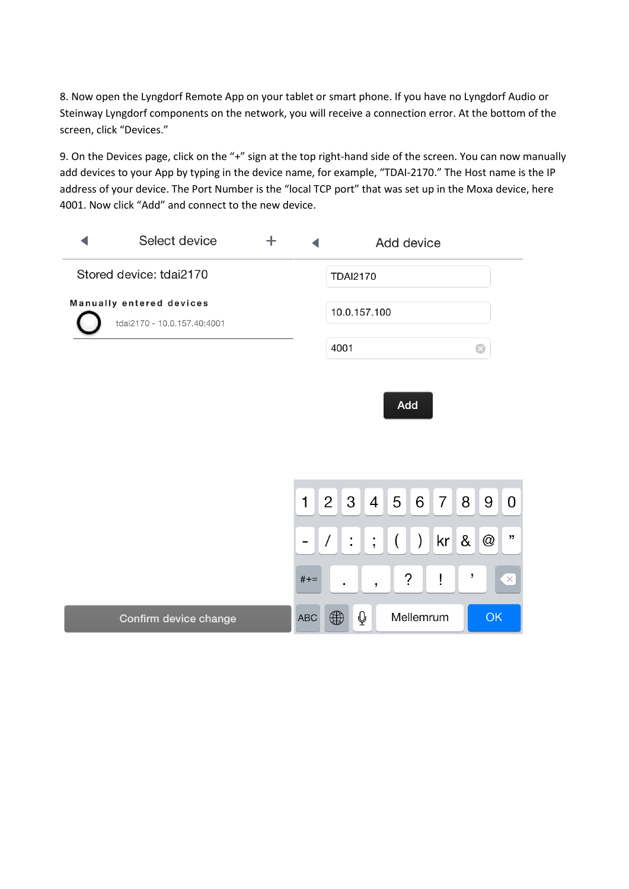8. Now open the Lyngdorf Remote App on your tablet or smart phone. If you have no Lyngdorf Audio or Steinway Lyngdorf components on the network, you will receive a connection error. At the bottom of the screen, click "Devices."

9. On the Devices page, click on the "+" sign at the top right-hand side of the screen. You can now manually add devices to your App by typing in the device name, for example, "TDAI-2170." The Host name is the IP address of your device. The Port Number is the "local TCP port" that was set up in the Moxa device, here 4001. Now click "Add" and connect to the new device.

| Select device                                           | $\pm$ |              |                                |                         | Add device         |                    |                |        |           |          |
|---------------------------------------------------------|-------|--------------|--------------------------------|-------------------------|--------------------|--------------------|----------------|--------|-----------|----------|
| Stored device: tdai2170                                 |       |              | <b>TDAI2170</b>                |                         |                    |                    |                |        |           |          |
| Manually entered devices<br>tdai2170 - 10.0.157.40:4001 |       |              | 10.0.157.100                   |                         |                    |                    |                |        |           |          |
|                                                         |       |              | 4001                           |                         |                    |                    |                |        | $\bullet$ |          |
|                                                         |       |              |                                |                         | Add                |                    |                |        |           |          |
|                                                         |       |              |                                |                         |                    |                    |                |        |           |          |
|                                                         |       |              |                                |                         |                    |                    |                |        |           |          |
|                                                         |       | $\mathbf{1}$ | $\mathbf{3}$<br>2 <sup>1</sup> | $\overline{4}$          | 5 <sup>1</sup>     | 6                  | 7 <sup>1</sup> | 8      | 9         | 0        |
|                                                         |       |              | ÷,<br>$\sqrt{2}$               | $\frac{1}{2}$           | $\left($           | $\left  \ \right $ |                | kr 8 @ |           | ,,       |
|                                                         |       | $#+-$        | $\blacksquare$                 | $\overline{ }$          | $\dot{\mathbf{c}}$ |                    | ļ              | ,      |           | $\times$ |
| Confirm device change                                   |       | <b>ABC</b>   | $\bigoplus$                    | $\overline{\mathsf{Q}}$ |                    | Mellemrum          |                |        | OK        |          |